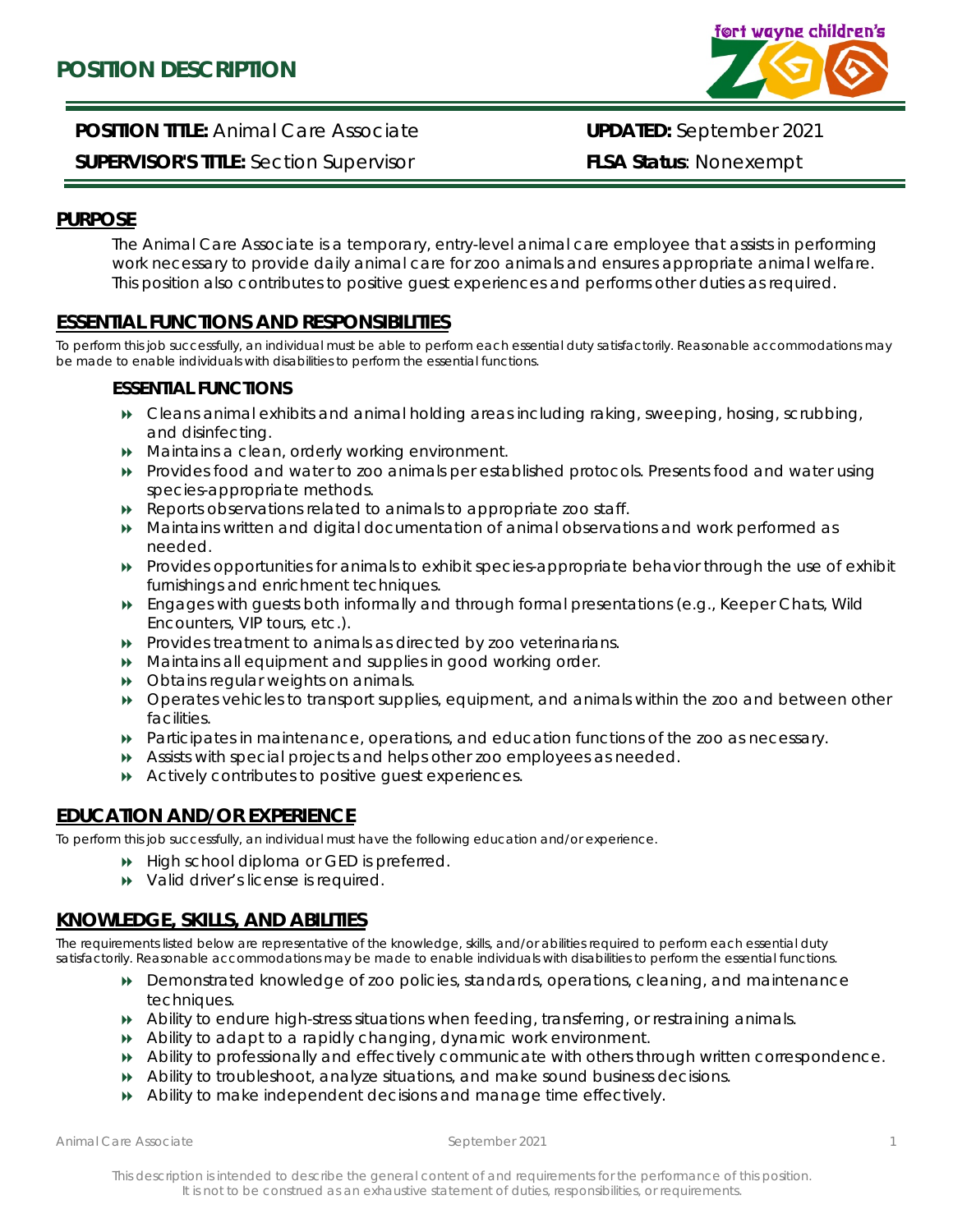

**POSITION TITLE:** Animal Care Associate **UPDATED:** September 2021

**SUPERVISOR'S TITLE:** Section Supervisor **FLSA Status**: Nonexempt

### **PURPOSE**

The Animal Care Associate is a temporary, entry-level animal care employee that assists in performing work necessary to provide daily animal care for zoo animals and ensures appropriate animal welfare. This position also contributes to positive guest experiences and performs other duties as required.

## **ESSENTIAL FUNCTIONS AND RESPONSIBILITIES**

To perform this job successfully, an individual must be able to perform each essential duty satisfactorily. Reasonable accommodations may be made to enable individuals with disabilities to perform the essential functions.

#### **ESSENTIAL FUNCTIONS**

- Cleans animal exhibits and animal holding areas including raking, sweeping, hosing, scrubbing, and disinfecting.
- Maintains a clean, orderly working environment.
- Provides food and water to zoo animals per established protocols. Presents food and water using species-appropriate methods.
- Reports observations related to animals to appropriate zoo staff.
- Maintains written and digital documentation of animal observations and work performed as needed.
- Provides opportunities for animals to exhibit species-appropriate behavior through the use of exhibit furnishings and enrichment techniques.
- Engages with guests both informally and through formal presentations (e.g., Keeper Chats, Wild Encounters, VIP tours, etc.).
- Provides treatment to animals as directed by zoo veterinarians.
- Maintains all equipment and supplies in good working order.
- **DED** Obtains regular weights on animals.
- Operates vehicles to transport supplies, equipment, and animals within the zoo and between other facilities.
- Participates in maintenance, operations, and education functions of the zoo as necessary.
- Assists with special projects and helps other zoo employees as needed.
- Actively contributes to positive guest experiences.

# **EDUCATION AND/OR EXPERIENCE**

To perform this job successfully, an individual must have the following education and/or experience.

- $\rightarrow$  High school diploma or GED is preferred.
- $\rightarrow$  Valid driver's license is required.

# **KNOWLEDGE, SKILLS, AND ABILITIES**

The requirements listed below are representative of the knowledge, skills, and/or abilities required to perform each essential duty satisfactorily. Reasonable accommodations may be made to enable individuals with disabilities to perform the essential functions.

- Demonstrated knowledge of zoo policies, standards, operations, cleaning, and maintenance techniques.
- Ability to endure high-stress situations when feeding, transferring, or restraining animals.
- Ability to adapt to a rapidly changing, dynamic work environment.
- Ability to professionally and effectively communicate with others through written correspondence.
- Ability to troubleshoot, analyze situations, and make sound business decisions.
- Ability to make independent decisions and manage time effectively.

*Animal Care Associate September 2021*